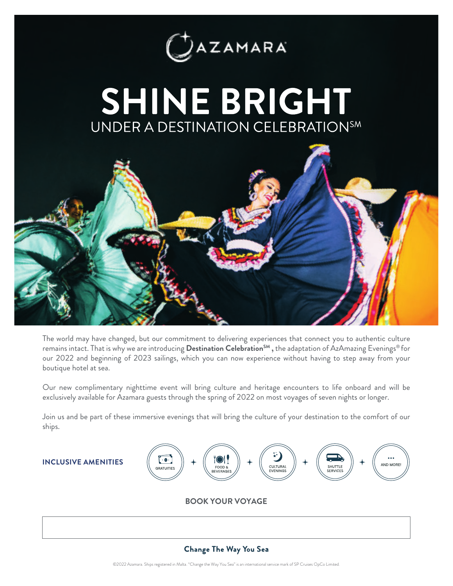

# **SHINE BRIGHT UNDER A DESTINATION CELEBRATIONSM**



The world may have changed, but our commitment to delivering experiences that connect you to authentic culture remains intact. That is why we are introducing **Destination CelebrationSM ,** the adaptation of AzAmazing Evenings® for our 2022 and beginning of 2023 sailings, which you can now experience without having to step away from your boutique hotel at sea.

Our new complimentary nighttime event will bring culture and heritage encounters to life onboard and will be exclusively available for Azamara guests through the spring of 2022 on most voyages of seven nights or longer.

Join us and be part of these immersive evenings that will bring the culture of your destination to the comfort of our ships.



#### **BOOK YOUR VOYAGE**

#### **Change The Way You Sea**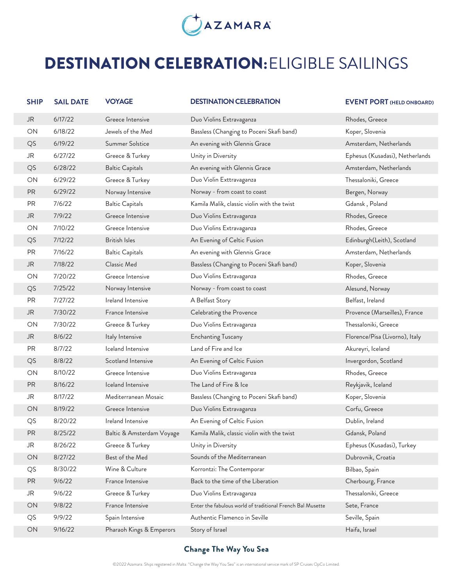

# DESTINATION CELEBRATION: ELIGIBLE SAILINGS

| <b>SHIP</b> | <b>SAIL DATE</b> | <b>VOYAGE</b>             | <b>DESTINATION CELEBRATION</b>                             | <b>EVENT PORT (HELD ONBOARD)</b> |
|-------------|------------------|---------------------------|------------------------------------------------------------|----------------------------------|
| <b>JR</b>   | 6/17/22          | Greece Intensive          | Duo Violins Extravaganza                                   | Rhodes, Greece                   |
| ON          | 6/18/22          | Jewels of the Med         | Bassless (Changing to Poceni Skafi band)                   | Koper, Slovenia                  |
| QS          | 6/19/22          | Summer Solstice           | An evening with Glennis Grace                              | Amsterdam, Netherlands           |
| JR          | 6/27/22          | Greece & Turkey           | Unity in Diversity                                         | Ephesus (Kusadasi), Netherlands  |
| QS          | 6/28/22          | <b>Baltic Capitals</b>    | An evening with Glennis Grace                              | Amsterdam, Netherlands           |
| ON          | 6/29/22          | Greece & Turkey           | Duo Violin Exttravaganza                                   | Thessaloniki, Greece             |
| <b>PR</b>   | 6/29/22          | Norway Intensive          | Norway - from coast to coast                               | Bergen, Norway                   |
| PR          | 7/6/22           | <b>Baltic Capitals</b>    | Kamila Malik, classic violin with the twist                | Gdansk, Poland                   |
| <b>JR</b>   | 7/9/22           | Greece Intensive          | Duo Violins Extravaganza                                   | Rhodes, Greece                   |
| ON          | 7/10/22          | Greece Intensive          | Duo Violins Extravaganza                                   | Rhodes, Greece                   |
| QS          | 7/12/22          | <b>British Isles</b>      | An Evening of Celtic Fusion                                | Edinburgh(Leith), Scotland       |
| PR          | 7/16/22          | <b>Baltic Capitals</b>    | An evening with Glennis Grace                              | Amsterdam, Netherlands           |
| JR          | 7/18/22          | Classic Med               | Bassless (Changing to Poceni Skafi band)                   | Koper, Slovenia                  |
| ON          | 7/20/22          | Greece Intensive          | Duo Violins Extravaganza                                   | Rhodes, Greece                   |
| QS          | 7/25/22          | Norway Intensive          | Norway - from coast to coast                               | Alesund, Norway                  |
| PR          | 7/27/22          | Ireland Intensive         | A Belfast Story                                            | Belfast, Ireland                 |
| <b>JR</b>   | 7/30/22          | France Intensive          | Celebrating the Provence                                   | Provence (Marseilles), France    |
| ON          | 7/30/22          | Greece & Turkey           | Duo Violins Extravaganza                                   | Thessaloniki, Greece             |
| <b>JR</b>   | 8/6/22           | Italy Intensive           | <b>Enchanting Tuscany</b>                                  | Florence/Pisa (Livorno), Italy   |
| PR          | 8/7/22           | Iceland Intensive         | Land of Fire and Ice                                       | Akureyri, Iceland                |
| QS          | 8/8/22           | Scotland Intensive        | An Evening of Celtic Fusion                                | Invergordon, Scotland            |
| ON          | 8/10/22          | Greece Intensive          | Duo Violins Extravaganza                                   | Rhodes, Greece                   |
| <b>PR</b>   | 8/16/22          | Iceland Intensive         | The Land of Fire & Ice                                     | Reykjavik, Iceland               |
| JR          | 8/17/22          | Mediterranean Mosaic      | Bassless (Changing to Poceni Skafi band)                   | Koper, Slovenia                  |
| ON          | 8/19/22          | Greece Intensive          | Duo Violins Extravaganza                                   | Corfu, Greece                    |
| QS          | 8/20/22          | Ireland Intensive         | An Evening of Celtic Fusion                                | Dublin, Ireland                  |
| PR          | 8/25/22          | Baltic & Amsterdam Voyage | Kamila Malik, classic violin with the twist                | Gdansk, Poland                   |
| JR          | 8/26/22          | Greece & Turkey           | Unity in Diversity                                         | Ephesus (Kusadasi), Turkey       |
| ON          | 8/27/22          | Best of the Med           | Sounds of the Mediterranean                                | Dubrovnik, Croatia               |
| QS          | 8/30/22          | Wine & Culture            | Korrontzi: The Contemporar                                 | Bilbao, Spain                    |
| <b>PR</b>   | 9/6/22           | France Intensive          | Back to the time of the Liberation                         | Cherbourg, France                |
| JR          | 9/6/22           | Greece & Turkey           | Duo Violins Extravaganza                                   | Thessaloniki, Greece             |
| ON          | 9/8/22           | France Intensive          | Enter the fabulous world of traditional French Bal Musette | Sete, France                     |
| QS          | 9/9/22           | Spain Intensive           | Authentic Flamenco in Seville                              | Seville, Spain                   |
| ON          | 9/16/22          | Pharaoh Kings & Emperors  | Story of Israel                                            | Haifa, Israel                    |

### **Change The Way You Sea**